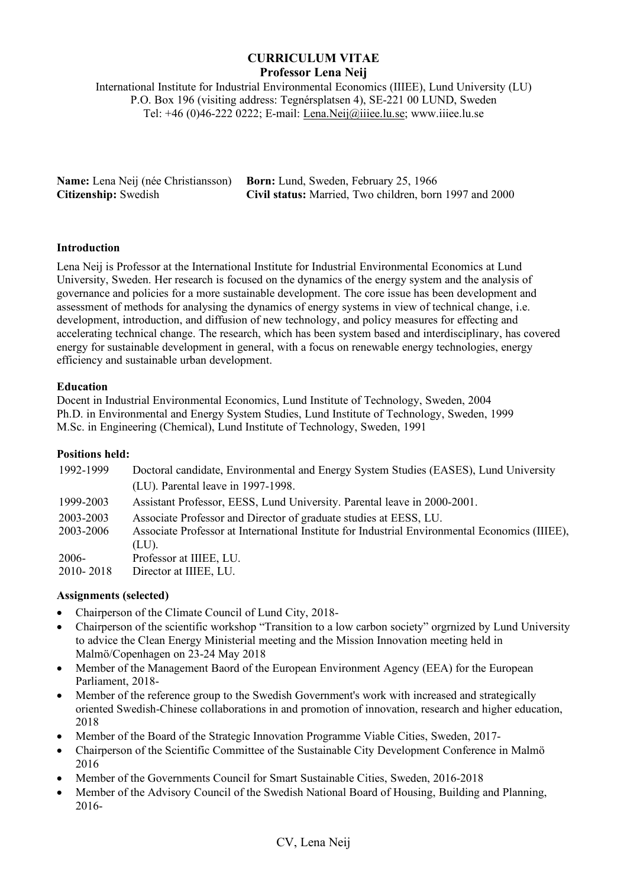# **CURRICULUM VITAE Professor Lena Neij**

International Institute for Industrial Environmental Economics (IIIEE), Lund University (LU) P.O. Box 196 (visiting address: Tegnérsplatsen 4), SE-221 00 LUND, Sweden Tel: +46 (0)46-222 0222; E-mail: Lena.Neij@iiiee.lu.se; www.iiiee.lu.se

|                             | <b>Name:</b> Lena Neij (née Christiansson) <b>Born:</b> Lund, Sweden, February 25, 1966 |
|-----------------------------|-----------------------------------------------------------------------------------------|
| <b>Citizenship:</b> Swedish | Civil status: Married, Two children, born 1997 and 2000                                 |

## **Introduction**

Lena Neij is Professor at the International Institute for Industrial Environmental Economics at Lund University, Sweden. Her research is focused on the dynamics of the energy system and the analysis of governance and policies for a more sustainable development. The core issue has been development and assessment of methods for analysing the dynamics of energy systems in view of technical change, i.e. development, introduction, and diffusion of new technology, and policy measures for effecting and accelerating technical change. The research, which has been system based and interdisciplinary, has covered energy for sustainable development in general, with a focus on renewable energy technologies, energy efficiency and sustainable urban development.

### **Education**

Docent in Industrial Environmental Economics, Lund Institute of Technology, Sweden, 2004 Ph.D. in Environmental and Energy System Studies, Lund Institute of Technology, Sweden, 1999 M.Sc. in Engineering (Chemical), Lund Institute of Technology, Sweden, 1991

## **Positions held:**

| 1992-1999              | Doctoral candidate, Environmental and Energy System Studies (EASES), Lund University<br>(LU). Parental leave in 1997-1998.                                                   |
|------------------------|------------------------------------------------------------------------------------------------------------------------------------------------------------------------------|
| 1999-2003              | Assistant Professor, EESS, Lund University. Parental leave in 2000-2001.                                                                                                     |
| 2003-2003<br>2003-2006 | Associate Professor and Director of graduate studies at EESS, LU.<br>Associate Professor at International Institute for Industrial Environmental Economics (IIIEE),<br>(LU). |
| 2006-<br>2010-2018     | Professor at IIIEE, LU.<br>Director at IIIEE, LU.                                                                                                                            |

## **Assignments (selected)**

- Chairperson of the Climate Council of Lund City, 2018-
- Chairperson of the scientific workshop "Transition to a low carbon society" orgrnized by Lund University to advice the Clean Energy Ministerial meeting and the Mission Innovation meeting held in Malmö/Copenhagen on 23-24 May 2018
- Member of the Management Baord of the European Environment Agency (EEA) for the European Parliament, 2018-
- Member of the reference group to the Swedish Government's work with increased and strategically oriented Swedish-Chinese collaborations in and promotion of innovation, research and higher education, 2018
- Member of the Board of the Strategic Innovation Programme Viable Cities, Sweden, 2017-
- Chairperson of the Scientific Committee of the Sustainable City Development Conference in Malmö 2016
- Member of the Governments Council for Smart Sustainable Cities, Sweden, 2016-2018
- Member of the Advisory Council of the Swedish National Board of Housing, Building and Planning, 2016-